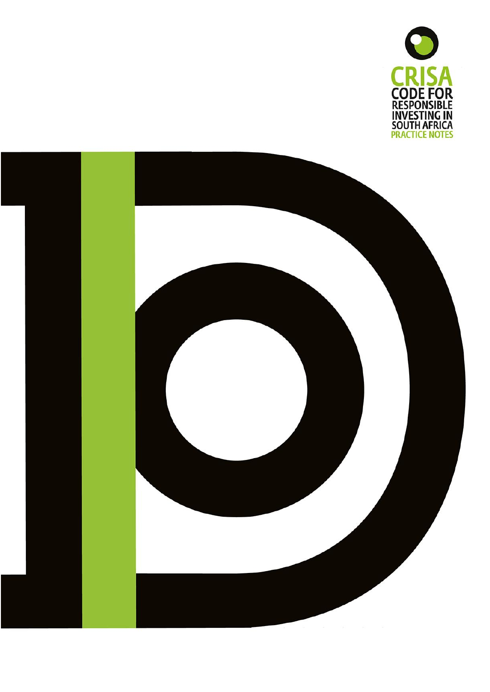

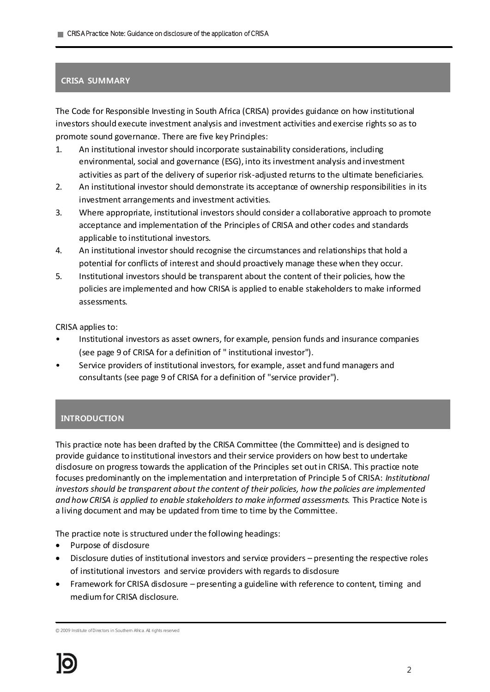# **CRISA SUMMARY**

The Code for Responsible Investing in South Africa (CRISA) provides guidance on how institutional investors should execute investment analysis and investment activities and exercise rights so as to promote sound governance. There are five key Principles:

- 1. An institutional investor should incorporate sustainability considerations, including environmental, social and governance (ESG), into its investment analysis and investment activities as part of the delivery of superior risk-adjusted returns to the ultimate beneficiaries.
- 2. An institutional investor should demonstrate its acceptance of ownership responsibilities in its investment arrangements and investment activities.
- 3. Where appropriate, institutional investors should consider a collaborative approach to promote acceptance and implementation of the Principles of CRISA and other codes and standards applicable to institutional investors.
- 4. An institutional investor should recognise the circumstances and relationships that hold a potential for conflicts of interest and should proactively manage these when they occur.
- 5. Institutional investors should be transparent about the content of their policies, how the policies are implemented and how CRISA is applied to enable stakeholders to make informed assessments.

CRISA applies to:

- Institutional investors as asset owners, for example, pension funds and insurance companies (see page 9 of CRISA for a definition of " institutional investor").
- Service providers of institutional investors, for example, asset and fund managers and consultants (see page 9 of CRISA for a definition of "service provider").

# **INTRODUCTION**

This practice note has been drafted by the CRISA Committee (the Committee) and is designed to provide guidance to institutional investors and their service providers on how best to undertake disclosure on progress towards the application of the Principles set out in CRISA. This practice note focuses predominantly on the implementation and interpretation of Principle 5 of CRISA: *Institutional investors should be transparent about the content of their policies, how the policies are implemented and how CRISA is applied to enable stakeholders to make informed assessments.* This Practice Note is a living document and may be updated from time to time by the Committee.

The practice note is structured under the following headings:

- Purpose of disclosure
- Disclosure duties of institutional investors and service providers presenting the respective roles of institutional investors and service providers with regards to disclosure
- Framework for CRISA disdosure presenting a guideline with reference to content, timing and medium for CRISA disclosure.

© 2009 Institute of Directors in Southern Africa. All rights reserved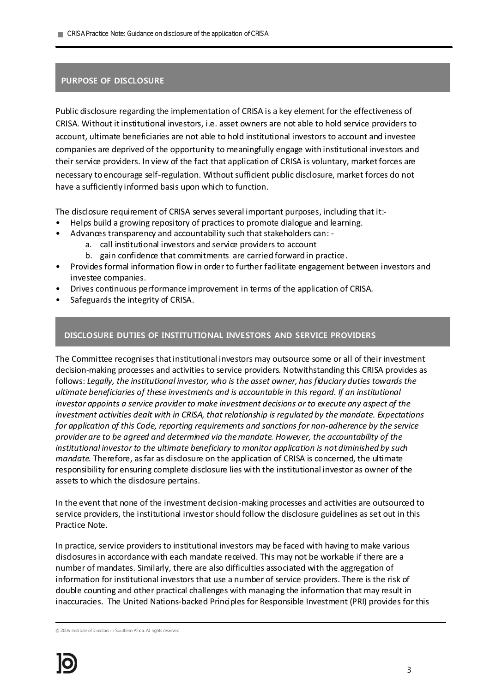## **PURPOSE OF DISCLOSURE**

Public disclosure regarding the implementation of CRISA is a key element for the effectiveness of CRISA. Without it institutional investors, i.e. asset owners are not able to hold service providers to account, ultimate beneficiaries are not able to hold institutional investors to account and investee companies are deprived of the opportunity to meaningfully engage with institutional investors and their service providers. In view of the fact that application of CRISA is voluntary, market forces are necessary to encourage self-regulation. Without sufficient public disclosure, market forces do not have a sufficiently informed basis upon which to function.

The disclosure requirement of CRISA serves several important purposes, including that it:-

- Helps build a growing repository of practices to promote dialogue and learning.
- Advances transparency and accountability such that stakeholders can:
	- a. call institutional investors and service providers to account
	- b. gain confidence that commitments are carried forward in practice.
- Provides formal information flow in order to further facilitate engagement between investors and investee companies.
- Drives continuous performance improvement in terms of the application of CRISA.
- Safeguards the integrity of CRISA.

#### **DISCLOSURE DUTIES OF INSTITUTIONAL INVESTORS AND SERVICE PROVIDERS**

The Committee recognises that institutional investors may outsource some or all of their investment decision-making processes and activities to service providers. Notwithstanding this CRISA provides as follows: *Legally, the institutional investor, who is the asset owner, has fiduciary duties towards the ultimate beneficiaries of these investments and is accountable in this regard. If an institutional investor appoints a service provider to make investment decisions or to execute any aspect of the investment activities dealt with in CRISA, that relationship is regulated by the mandate. Expectations for application of this Code, reporting requirements and sanctions for non-adherence by the service provider are to be agreed and determined via the mandate. However, the accountability of the institutional investor to the ultimate beneficiary to monitor application is not diminished by such mandate.* Therefore, as far as disclosure on the application of CRISA is concerned, the ultimate responsibility for ensuring complete disclosure lies with the institutional investor as owner of the assets to which the disdosure pertains.

In the event that none of the investment decision-making processes and activities are outsourced to service providers, the institutional investor should follow the disclosure guidelines as set out in this Practice Note.

In practice, service providers to institutional investors may be faced with having to make various disclosures in accordance with each mandate received. This may not be workable if there are a number of mandates. Similarly, there are also difficulties associated with the aggregation of information for institutional investors that use a number of service providers. There is the risk of double counting and other practical challenges with managing the information that may result in inaccuracies. The United Nations-backed Principles for Responsible Investment (PRI) provides for this

© 2009 Institute of Directors in Southern Africa. All rights reserved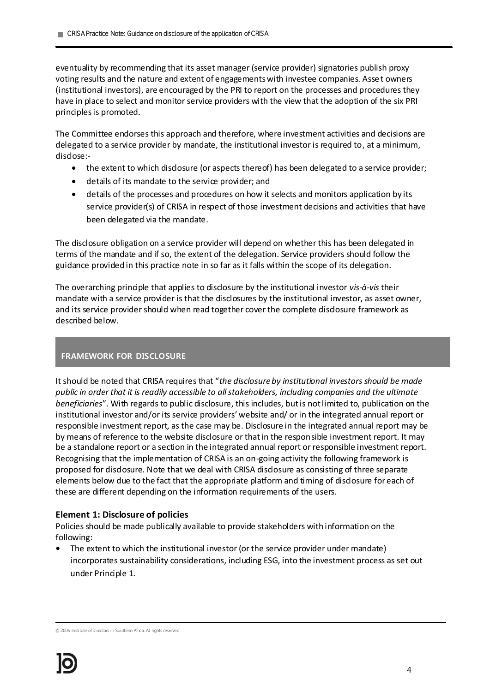eventuality by recommending that its asset manager (service provider) signatories publish proxy voting results and the nature and extent of engagements with investee companies. Asset owners (institutional investors), are encouraged by the PRI to report on the processes and procedures they have in place to select and monitor service providers with the view that the adoption of the six PRI principles is promoted.

The Committee endorses this approach and therefore, where investment activities and decisions are delegated to a service provider by mandate, the institutional investor is required to, at a minimum, disdose:-

- the extent to which disclosure (or aspects thereof) has been delegated to a service provider;
- details of its mandate to the service provider; and
- details of the processes and procedures on how it selects and monitors application by its service provider(s) of CRISA in respect of those investment decisions and activities that have been delegated via the mandate.

The disclosure obligation on a service provider will depend on whether this has been delegated in terms of the mandate and if so, the extent of the delegation. Service providers should follow the guidance provided in this practice note in so far as it falls within the scope of its delegation.

The overarching principle that applies to disclosure by the institutional investor *vis-à-vis* their mandate with a service provider is that the disclosures by the institutional investor, as asset owner, and its service provider should when read together cover the complete disclosure framework as described below.

# **FRAMEWORK FOR DISCLOSURE**

It should be noted that CRISA requires that "*the disclosure by institutional investors should be made public in order that it is readily accessible to all stakeholders, including companies and the ultimate beneficiaries*". With regards to public disclosure, this includes, but is not limited to, publication on the institutional investor and/or its service providers' website and/ or in the integrated annual report or responsible investment report, as the case may be. Disclosure in the integrated annual report may be by means of reference to the website disclosure or that in the responsible investment report. It may be a standalone report or a section in the integrated annual report or responsible investment report. Recognising that the implementation of CRISA is an on-going activity the following framework is proposed for disclosure. Note that we deal with CRISA disclosure as consisting of three separate elements below due to the fact that the appropriate platform and timing of disclosure for each of these are different depending on the information requirements of the users.

#### **Element 1: Disclosure of policies**

Policies should be made publically available to provide stakeholders with information on the following:

**•** The extent to which the institutional investor (or the service provider under mandate) incorporates sustainability considerations, including ESG, into the investment process as set out under Principle 1.

<sup>© 2009</sup> Institute of Directors in Southern Africa. All rights reserved

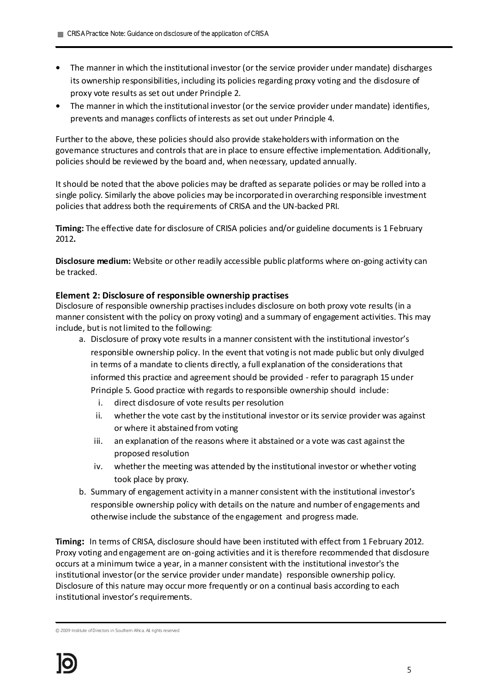- **•** The manner in which the institutional investor (or the service provider under mandate) discharges its ownership responsibilities, including its policies regarding proxy voting and the disclosure of proxy vote results as set out under Principle 2.
- **•** The manner in which the institutional investor (or the service provider under mandate) identifies, prevents and manages conflicts of interests as set out under Principle 4.

Further to the above, these policies should also provide stakeholders with information on the governance structures and controls that are in place to ensure effective implementation. Additionally, policies should be reviewed by the board and, when necessary, updated annually.

It should be noted that the above policies may be drafted as separate policies or may be rolled into a single policy. Similarly the above policies may be incorporated in overarching responsible investment policies that address both the requirements of CRISA and the UN-backed PRI.

**Timing:** The effective date for disclosure of CRISA policies and/or guideline documents is 1 February 2012**.** 

**Disclosure medium:** Website or other readily accessible public platforms where on-going activity can be tracked.

## **Element 2: Disclosure of responsible ownership practises**

Disclosure of responsible ownership practises includes disclosure on both proxy vote results (in a manner consistent with the policy on proxy voting) and a summary of engagement activities. This may include, but is not limited to the following:

- a. Disclosure of proxy vote results in a manner consistent with the institutional investor's responsible ownership policy. In the event that voting is not made public but only divulged in terms of a mandate to clients directly, a full explanation of the considerations that informed this practice and agreement should be provided - refer to paragraph 15 under Principle 5. Good practice with regards to responsible ownership should include:
	- i. direct disdosure of vote results per resolution
	- ii. whether the vote cast by the institutional investor or its service provider was against or where it abstained from voting
	- iii. an explanation of the reasons where it abstained or a vote was cast against the proposed resolution
	- iv. whether the meeting was attended by the institutional investor or whether voting took place by proxy.
- b. Summary of engagement activity in a manner consistent with the institutional investor's responsible ownership policy with details on the nature and number of engagements and otherwise include the substance of the engagement and progress made.

**Timing:** In terms of CRISA, disclosure should have been instituted with effect from 1 February 2012. Proxy voting and engagement are on-going activities and it is therefore recommended that disclosure occurs at a minimum twice a year, in a manner consistent with the institutional investor's the institutional investor (or the service provider under mandate) responsible ownership policy. Disclosure of this nature may occur more frequently or on a continual basis according to each institutional investor's requirements.

<sup>© 2009</sup> Institute of Directors in Southern Africa. All rights reserved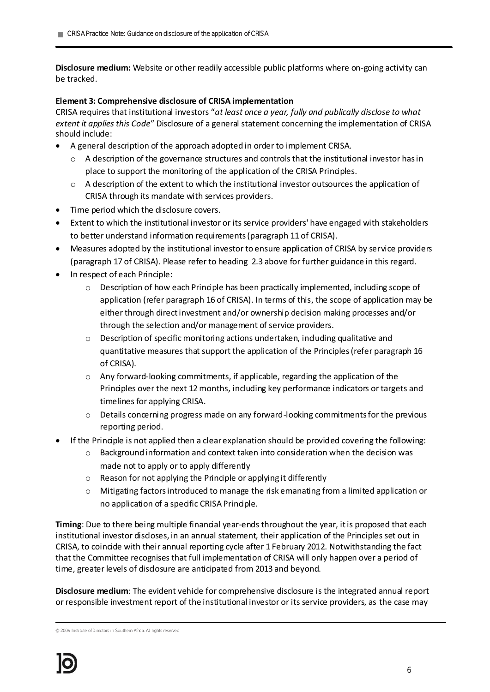**Disclosure medium:** Website or other readily accessible public platforms where on-going activity can be tracked.

## **Element 3: Comprehensive disclosure of CRISA implementation**

CRISA requires that institutional investors "*at least once a year, fully and publically disclose to what extent it applies this Code*" Disclosure of a general statement concerning the implementation of CRISA should include:

- A general description of the approach adopted in order to implement CRISA.
	- $\circ$  A description of the governance structures and controls that the institutional investor has in place to support the monitoring of the application of the CRISA Principles.
	- $\circ$  A description of the extent to which the institutional investor outsources the application of CRISA through its mandate with services providers.
- Time period which the disclosure covers.
- Extent to which the institutional investor or its service providers' have engaged with stakeholders to better understand information requirements (paragraph 11 of CRISA).
- Measures adopted by the institutional investor to ensure application of CRISA by service providers (paragraph 17 of CRISA). Please refer to heading 2.3 above for further guidance in this regard.
- In respect of each Principle:
	- o Description of how each Principle has been practically implemented, including scope of application (refer paragraph 16 of CRISA). In terms of this, the scope of application may be either through direct investment and/or ownership decision making processes and/or through the selection and/or management of service providers.
	- $\circ$  Description of specific monitoring actions undertaken, induding qualitative and quantitative measures that support the application of the Principles (refer paragraph 16 of CRISA).
	- o Any forward-looking commitments, if applicable, regarding the application of the Principles over the next 12 months, including key performance indicators or targets and timelines for applying CRISA.
	- $\circ$  Details concerning progress made on any forward-looking commitments for the previous reporting period.
- If the Principle is not applied then a clear explanation should be provided covering the following:
	- o Background information and context taken into consideration when the decision was made not to apply or to apply differently
	- $\circ$  Reason for not applying the Principle or applying it differently
	- o Mitigating factors introduced to manage the risk emanating from a limited application or no application of a specific CRISA Principle.

**Timing**: Due to there being multiple financial year-ends throughout the year, it is proposed that each institutional investor disdoses, in an annual statement, their application of the Principles set out in CRISA, to coincide with their annual reporting cycle after 1 February 2012. Notwithstanding the fact that the Committee recognises that full implementation of CRISA will only happen over a period of time, greater levels of disclosure are anticipated from 2013 and beyond.

**Disclosure medium**: The evident vehicle for comprehensive disclosure is the integrated annual report or responsible investment report of the institutional investor or its service providers, as the case may